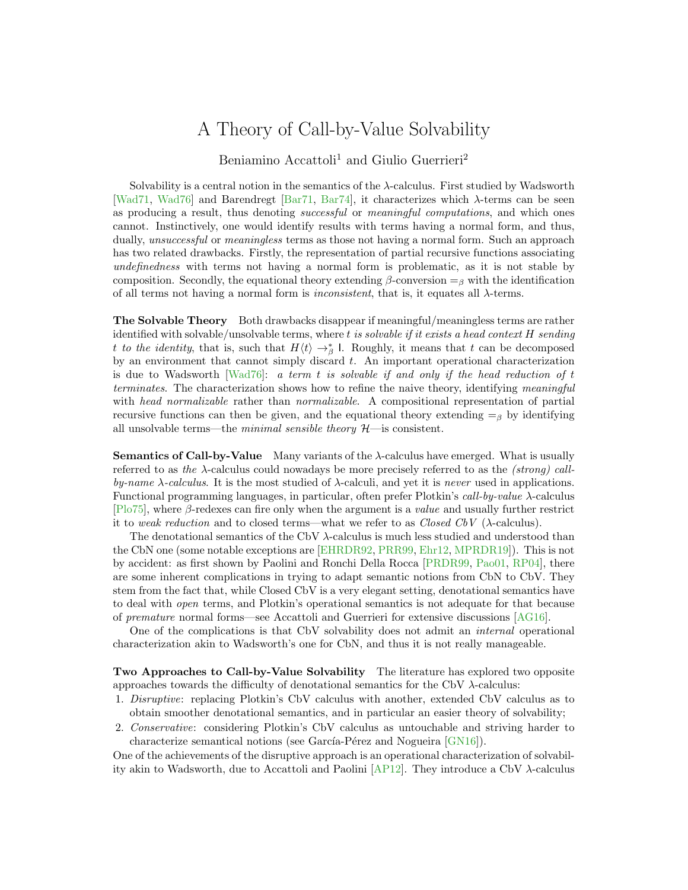## A Theory of Call-by-Value Solvability

Beniamino Accattoli<sup>1</sup> and Giulio Guerrieri<sup>2</sup>

Solvability is a central notion in the semantics of the  $\lambda$ -calculus. First studied by Wadsworth [\[Wad71,](#page-3-0) [Wad76\]](#page-3-1) and Barendregt [\[Bar71,](#page-2-0) [Bar74\]](#page-2-1), it characterizes which  $\lambda$ -terms can be seen as producing a result, thus denoting successful or meaningful computations, and which ones cannot. Instinctively, one would identify results with terms having a normal form, and thus, dually, *unsuccessful* or *meaningless* terms as those not having a normal form. Such an approach has two related drawbacks. Firstly, the representation of partial recursive functions associating undefinedness with terms not having a normal form is problematic, as it is not stable by composition. Secondly, the equational theory extending  $\beta$ -conversion  $=$ <sub>β</sub> with the identification of all terms not having a normal form is *inconsistent*, that is, it equates all  $\lambda$ -terms.

The Solvable Theory Both drawbacks disappear if meaningful/meaningless terms are rather identified with solvable/unsolvable terms, where  $t$  is solvable if it exists a head context  $H$  sending t to the identity, that is, such that  $H(t) \to_{\beta}^*$  I. Roughly, it means that t can be decomposed by an environment that cannot simply discard  $t$ . An important operational characterization is due to Wadsworth [\[Wad76\]](#page-3-1): a term t is solvable if and only if the head reduction of t terminates. The characterization shows how to refine the naive theory, identifying meaningful with *head normalizable* rather than *normalizable*. A compositional representation of partial recursive functions can then be given, and the equational theory extending  $=$ <sub>β</sub> by identifying all unsolvable terms—the *minimal sensible theory*  $H$ —is consistent.

Semantics of Call-by-Value Many variants of the λ-calculus have emerged. What is usually referred to as the λ-calculus could nowadays be more precisely referred to as the (strong) callby-name  $\lambda$ -calculus. It is the most studied of  $\lambda$ -calculi, and yet it is never used in applications. Functional programming languages, in particular, often prefer Plotkin's call-by-value λ-calculus  $[P_075]$ , where  $\beta$ -redexes can fire only when the argument is a *value* and usually further restrict it to weak reduction and to closed terms—what we refer to as *Closed CbV* ( $\lambda$ -calculus).

The denotational semantics of the CbV  $\lambda$ -calculus is much less studied and understood than the CbN one (some notable exceptions are [\[EHRDR92,](#page-2-3) [PRR99,](#page-3-2) [Ehr12,](#page-2-4) [MPRDR19\]](#page-2-5)). This is not by accident: as first shown by Paolini and Ronchi Della Rocca [\[PRDR99,](#page-2-6) [Pao01,](#page-2-7) [RP04\]](#page-3-3), there are some inherent complications in trying to adapt semantic notions from CbN to CbV. They stem from the fact that, while Closed CbV is a very elegant setting, denotational semantics have to deal with open terms, and Plotkin's operational semantics is not adequate for that because of premature normal forms—see Accattoli and Guerrieri for extensive discussions [\[AG16\]](#page-2-8).

One of the complications is that CbV solvability does not admit an internal operational characterization akin to Wadsworth's one for CbN, and thus it is not really manageable.

Two Approaches to Call-by-Value Solvability The literature has explored two opposite approaches towards the difficulty of denotational semantics for the CbV  $\lambda$ -calculus:

- 1. Disruptive: replacing Plotkin's CbV calculus with another, extended CbV calculus as to obtain smoother denotational semantics, and in particular an easier theory of solvability;
- 2. Conservative: considering Plotkin's CbV calculus as untouchable and striving harder to characterize semantical notions (see García-Pérez and Nogueira [\[GN16\]](#page-2-9)).

One of the achievements of the disruptive approach is an operational characterization of solvability akin to Wadsworth, due to Accattoli and Paolini [\[AP12\]](#page-2-10). They introduce a CbV λ-calculus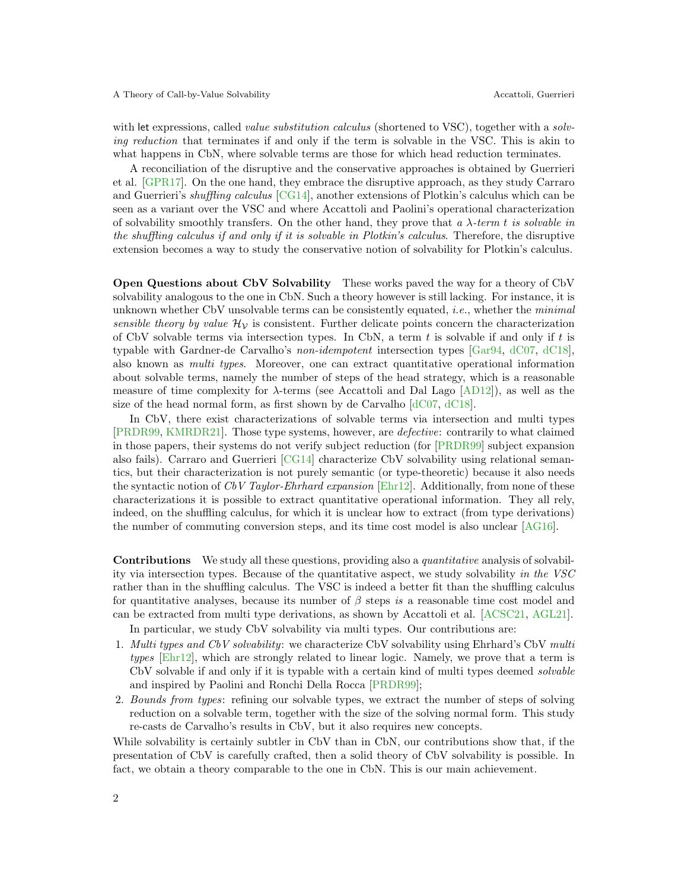## A Theory of Call-by-Value Solvability Accattoli, Guerrieri

with let expressions, called *value substitution calculus* (shortened to VSC), together with a *solv*ing reduction that terminates if and only if the term is solvable in the VSC. This is akin to what happens in CbN, where solvable terms are those for which head reduction terminates.

A reconciliation of the disruptive and the conservative approaches is obtained by Guerrieri et al. [\[GPR17\]](#page-2-11). On the one hand, they embrace the disruptive approach, as they study Carraro and Guerrieri's shuffling calculus [\[CG14\]](#page-2-12), another extensions of Plotkin's calculus which can be seen as a variant over the VSC and where Accattoli and Paolini's operational characterization of solvability smoothly transfers. On the other hand, they prove that a  $\lambda$ -term t is solvable in the shuffling calculus if and only if it is solvable in Plotkin's calculus. Therefore, the disruptive extension becomes a way to study the conservative notion of solvability for Plotkin's calculus.

Open Questions about CbV Solvability These works paved the way for a theory of CbV solvability analogous to the one in CbN. Such a theory however is still lacking. For instance, it is unknown whether CbV unsolvable terms can be consistently equated, *i.e.*, whether the *minimal* sensible theory by value  $\mathcal{H}_V$  is consistent. Further delicate points concern the characterization of CbV solvable terms via intersection types. In CbN, a term  $t$  is solvable if and only if  $t$  is typable with Gardner-de Carvalho's non-idempotent intersection types [\[Gar94,](#page-2-13) [dC07,](#page-2-14) [dC18\]](#page-2-15), also known as multi types. Moreover, one can extract quantitative operational information about solvable terms, namely the number of steps of the head strategy, which is a reasonable measure of time complexity for  $\lambda$ -terms (see Accattoli and Dal Lago [\[AD12\]](#page-2-16)), as well as the size of the head normal form, as first shown by de Carvalho  $\left[ dCO7, dC18 \right]$ .

In CbV, there exist characterizations of solvable terms via intersection and multi types [\[PRDR99,](#page-2-6) [KMRDR21\]](#page-2-17). Those type systems, however, are defective: contrarily to what claimed in those papers, their systems do not verify subject reduction (for [\[PRDR99\]](#page-2-6) subject expansion also fails). Carraro and Guerrieri [\[CG14\]](#page-2-12) characterize CbV solvability using relational semantics, but their characterization is not purely semantic (or type-theoretic) because it also needs the syntactic notion of CbV Taylor-Ehrhard expansion [\[Ehr12\]](#page-2-4). Additionally, from none of these characterizations it is possible to extract quantitative operational information. They all rely, indeed, on the shuffling calculus, for which it is unclear how to extract (from type derivations) the number of commuting conversion steps, and its time cost model is also unclear [\[AG16\]](#page-2-8).

Contributions We study all these questions, providing also a quantitative analysis of solvability via intersection types. Because of the quantitative aspect, we study solvability in the VSC rather than in the shuffling calculus. The VSC is indeed a better fit than the shuffling calculus for quantitative analyses, because its number of  $\beta$  steps is a reasonable time cost model and can be extracted from multi type derivations, as shown by Accattoli et al. [\[ACSC21,](#page-2-18) [AGL21\]](#page-2-19). In particular, we study CbV solvability via multi types. Our contributions are:

1. Multi types and CbV solvability: we characterize CbV solvability using Ehrhard's CbV multi

- types [\[Ehr12\]](#page-2-4), which are strongly related to linear logic. Namely, we prove that a term is CbV solvable if and only if it is typable with a certain kind of multi types deemed solvable and inspired by Paolini and Ronchi Della Rocca [\[PRDR99\]](#page-2-6);
- 2. Bounds from types: refining our solvable types, we extract the number of steps of solving reduction on a solvable term, together with the size of the solving normal form. This study re-casts de Carvalho's results in CbV, but it also requires new concepts.

While solvability is certainly subtler in CbV than in CbN, our contributions show that, if the presentation of CbV is carefully crafted, then a solid theory of CbV solvability is possible. In fact, we obtain a theory comparable to the one in CbN. This is our main achievement.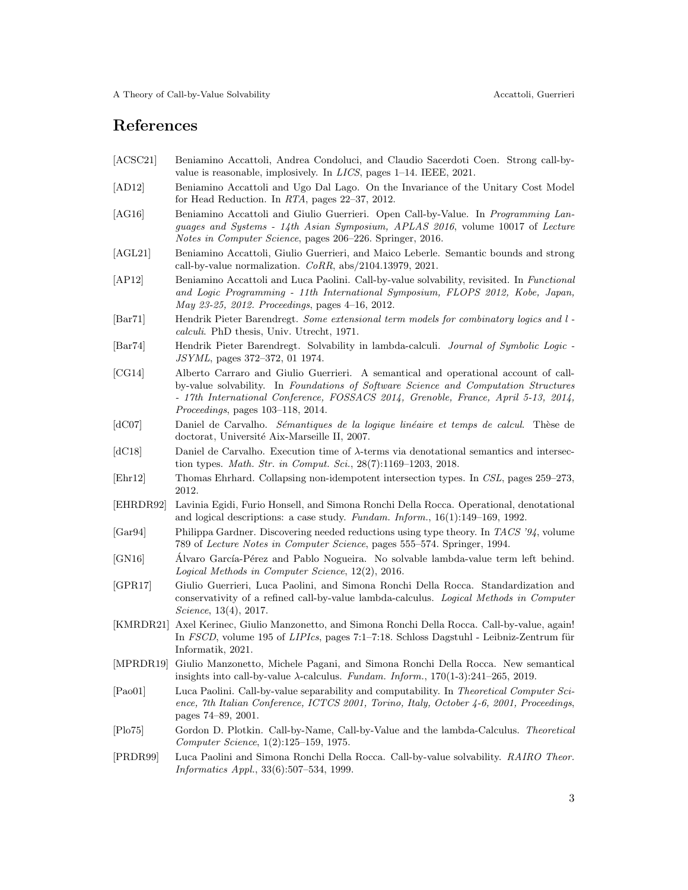## References

- <span id="page-2-18"></span>[ACSC21] Beniamino Accattoli, Andrea Condoluci, and Claudio Sacerdoti Coen. Strong call-byvalue is reasonable, implosively. In LICS, pages 1–14. IEEE, 2021.
- <span id="page-2-16"></span>[AD12] Beniamino Accattoli and Ugo Dal Lago. On the Invariance of the Unitary Cost Model for Head Reduction. In RTA, pages 22–37, 2012.
- <span id="page-2-8"></span>[AG16] Beniamino Accattoli and Giulio Guerrieri. Open Call-by-Value. In *Programming Lan*guages and Systems - 14th Asian Symposium, APLAS 2016, volume 10017 of Lecture Notes in Computer Science, pages 206–226. Springer, 2016.
- <span id="page-2-19"></span>[AGL21] Beniamino Accattoli, Giulio Guerrieri, and Maico Leberle. Semantic bounds and strong call-by-value normalization.  $CoRR$ , abs/2104.13979, 2021.
- <span id="page-2-10"></span>[AP12] Beniamino Accattoli and Luca Paolini. Call-by-value solvability, revisited. In Functional and Logic Programming - 11th International Symposium, FLOPS 2012, Kobe, Japan, May 23-25, 2012. Proceedings, pages 4–16, 2012.
- <span id="page-2-0"></span>[Bar71] Hendrik Pieter Barendregt. Some extensional term models for combinatory logics and l calculi. PhD thesis, Univ. Utrecht, 1971.
- <span id="page-2-1"></span>[Bar74] Hendrik Pieter Barendregt. Solvability in lambda-calculi. Journal of Symbolic Logic -JSYML, pages 372–372, 01 1974.
- <span id="page-2-12"></span>[CG14] Alberto Carraro and Giulio Guerrieri. A semantical and operational account of callby-value solvability. In Foundations of Software Science and Computation Structures - 17th International Conference, FOSSACS 2014, Grenoble, France, April 5-13, 2014, Proceedings, pages 103–118, 2014.
- <span id="page-2-14"></span>[dC07] Daniel de Carvalho. Sémantiques de la logique linéaire et temps de calcul. Thèse de doctorat, Université Aix-Marseille II, 2007.
- <span id="page-2-15"></span>[dC18] Daniel de Carvalho. Execution time of  $\lambda$ -terms via denotational semantics and intersection types. Math. Str. in Comput. Sci., 28(7):1169–1203, 2018.
- <span id="page-2-4"></span>[Ehr12] Thomas Ehrhard. Collapsing non-idempotent intersection types. In CSL, pages 259–273, 2012.
- <span id="page-2-3"></span>[EHRDR92] Lavinia Egidi, Furio Honsell, and Simona Ronchi Della Rocca. Operational, denotational and logical descriptions: a case study. Fundam. Inform., 16(1):149–169, 1992.
- <span id="page-2-13"></span>[Gar94] Philippa Gardner. Discovering needed reductions using type theory. In TACS '94, volume 789 of Lecture Notes in Computer Science, pages 555–574. Springer, 1994.
- <span id="page-2-9"></span>[GN16] Alvaro García-Pérez and Pablo Nogueira. No solvable lambda-value term left behind. Logical Methods in Computer Science, 12(2), 2016.
- <span id="page-2-11"></span>[GPR17] Giulio Guerrieri, Luca Paolini, and Simona Ronchi Della Rocca. Standardization and conservativity of a refined call-by-value lambda-calculus. Logical Methods in Computer Science, 13(4), 2017.
- <span id="page-2-17"></span>[KMRDR21] Axel Kerinec, Giulio Manzonetto, and Simona Ronchi Della Rocca. Call-by-value, again! In FSCD, volume 195 of  $LIPIcs$ , pages 7:1–7:18. Schloss Dagstuhl - Leibniz-Zentrum für Informatik, 2021.
- <span id="page-2-5"></span>[MPRDR19] Giulio Manzonetto, Michele Pagani, and Simona Ronchi Della Rocca. New semantical insights into call-by-value  $\lambda$ -calculus. Fundam. Inform., 170(1-3):241–265, 2019.
- <span id="page-2-7"></span>[Pao01] Luca Paolini. Call-by-value separability and computability. In Theoretical Computer Science, 7th Italian Conference, ICTCS 2001, Torino, Italy, October 4-6, 2001, Proceedings, pages 74–89, 2001.
- <span id="page-2-2"></span>[Plo75] Gordon D. Plotkin. Call-by-Name, Call-by-Value and the lambda-Calculus. Theoretical Computer Science, 1(2):125–159, 1975.
- <span id="page-2-6"></span>[PRDR99] Luca Paolini and Simona Ronchi Della Rocca. Call-by-value solvability. RAIRO Theor. Informatics Appl., 33(6):507–534, 1999.